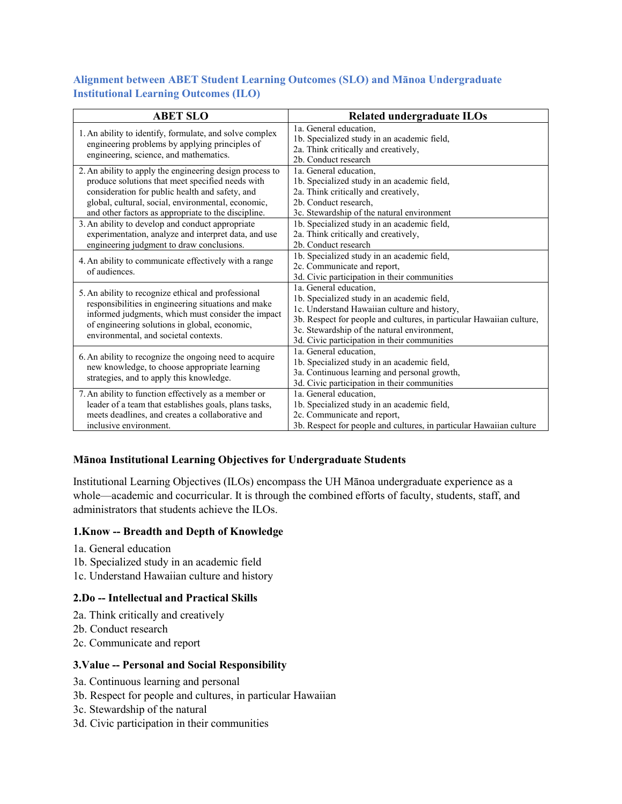### **Alignment between ABET Student Learning Outcomes (SLO) and Mānoa Undergraduate Institutional Learning Outcomes (ILO)**

| <b>ABET SLO</b>                                                                                                                                                                                                                                                                                                                  | <b>Related undergraduate ILOs</b>                                                                                                                                                                                                                                                            |
|----------------------------------------------------------------------------------------------------------------------------------------------------------------------------------------------------------------------------------------------------------------------------------------------------------------------------------|----------------------------------------------------------------------------------------------------------------------------------------------------------------------------------------------------------------------------------------------------------------------------------------------|
| 1. An ability to identify, formulate, and solve complex<br>engineering problems by applying principles of<br>engineering, science, and mathematics.                                                                                                                                                                              | 1a. General education.<br>1b. Specialized study in an academic field,<br>2a. Think critically and creatively,<br>2b. Conduct research                                                                                                                                                        |
| 2. An ability to apply the engineering design process to<br>produce solutions that meet specified needs with<br>consideration for public health and safety, and<br>global, cultural, social, environmental, economic,<br>and other factors as appropriate to the discipline.<br>3. An ability to develop and conduct appropriate | 1a. General education,<br>1b. Specialized study in an academic field,<br>2a. Think critically and creatively,<br>2b. Conduct research.<br>3c. Stewardship of the natural environment<br>1b. Specialized study in an academic field,                                                          |
| experimentation, analyze and interpret data, and use<br>engineering judgment to draw conclusions.                                                                                                                                                                                                                                | 2a. Think critically and creatively,<br>2b. Conduct research                                                                                                                                                                                                                                 |
| 4. An ability to communicate effectively with a range<br>of audiences.                                                                                                                                                                                                                                                           | 1b. Specialized study in an academic field,<br>2c. Communicate and report,<br>3d. Civic participation in their communities                                                                                                                                                                   |
| 5. An ability to recognize ethical and professional<br>responsibilities in engineering situations and make<br>informed judgments, which must consider the impact<br>of engineering solutions in global, economic,<br>environmental, and societal contexts.                                                                       | 1a. General education.<br>1b. Specialized study in an academic field,<br>1c. Understand Hawaiian culture and history,<br>3b. Respect for people and cultures, in particular Hawaiian culture,<br>3c. Stewardship of the natural environment,<br>3d. Civic participation in their communities |
| 6. An ability to recognize the ongoing need to acquire<br>new knowledge, to choose appropriate learning<br>strategies, and to apply this knowledge.                                                                                                                                                                              | 1a. General education.<br>1b. Specialized study in an academic field,<br>3a. Continuous learning and personal growth,<br>3d. Civic participation in their communities                                                                                                                        |
| 7. An ability to function effectively as a member or<br>leader of a team that establishes goals, plans tasks,<br>meets deadlines, and creates a collaborative and<br>inclusive environment.                                                                                                                                      | 1a. General education.<br>1b. Specialized study in an academic field,<br>2c. Communicate and report,<br>3b. Respect for people and cultures, in particular Hawaiian culture                                                                                                                  |

### **Mānoa Institutional Learning Objectives for Undergraduate Students**

Institutional Learning Objectives (ILOs) encompass the UH Mānoa undergraduate experience as a whole—academic and cocurricular. It is through the combined efforts of faculty, students, staff, and administrators that students achieve the ILOs.

#### **1.Know -- Breadth and Depth of Knowledge**

- 1a. General education
- 1b. Specialized study in an academic field
- 1c. Understand Hawaiian culture and history

### **2.Do -- Intellectual and Practical Skills**

- 2a. Think critically and creatively
- 2b. Conduct research
- 2c. Communicate and report

### **3.Value -- Personal and Social Responsibility**

- 3a. Continuous learning and personal
- 3b. Respect for people and cultures, in particular Hawaiian
- 3c. Stewardship of the natural
- 3d. Civic participation in their communities